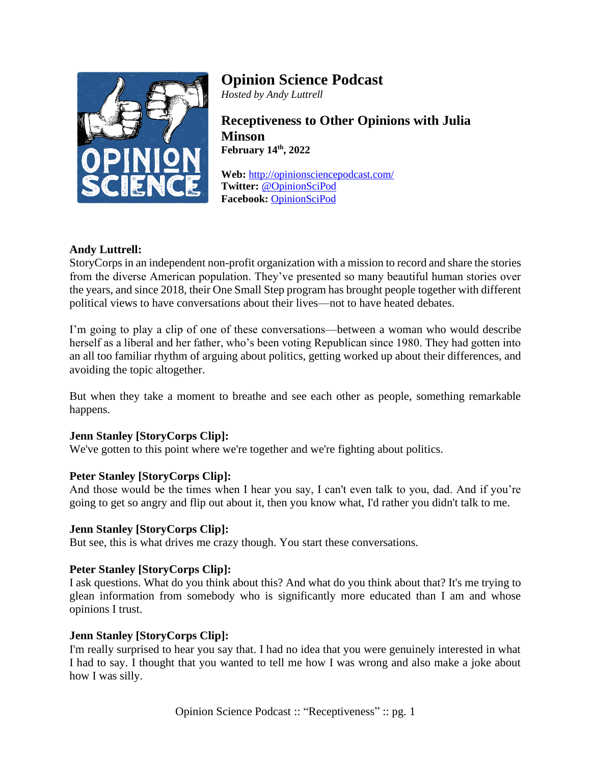

# **Opinion Science Podcast**

*Hosted by Andy Luttrell*

**Receptiveness to Other Opinions with Julia Minson February 14th , 2022**

**Web:** <http://opinionsciencepodcast.com/> **Twitter:** [@OpinionSciPod](https://twitter.com/OpinionSciPod) **Facebook:** [OpinionSciPod](https://www.facebook.com/OpinionSciPod/)

# **Andy Luttrell:**

StoryCorps in an independent non-profit organization with a mission to record and share the stories from the diverse American population. They've presented so many beautiful human stories over the years, and since 2018, their One Small Step program has brought people together with different political views to have conversations about their lives—not to have heated debates.

I'm going to play a clip of one of these conversations—between a woman who would describe herself as a liberal and her father, who's been voting Republican since 1980. They had gotten into an all too familiar rhythm of arguing about politics, getting worked up about their differences, and avoiding the topic altogether.

But when they take a moment to breathe and see each other as people, something remarkable happens.

## **Jenn Stanley [StoryCorps Clip]:**

We've gotten to this point where we're together and we're fighting about politics.

## **Peter Stanley [StoryCorps Clip]:**

And those would be the times when I hear you say, I can't even talk to you, dad. And if you're going to get so angry and flip out about it, then you know what, I'd rather you didn't talk to me.

## **Jenn Stanley [StoryCorps Clip]:**

But see, this is what drives me crazy though. You start these conversations.

## **Peter Stanley [StoryCorps Clip]:**

I ask questions. What do you think about this? And what do you think about that? It's me trying to glean information from somebody who is significantly more educated than I am and whose opinions I trust.

## **Jenn Stanley [StoryCorps Clip]:**

I'm really surprised to hear you say that. I had no idea that you were genuinely interested in what I had to say. I thought that you wanted to tell me how I was wrong and also make a joke about how I was silly.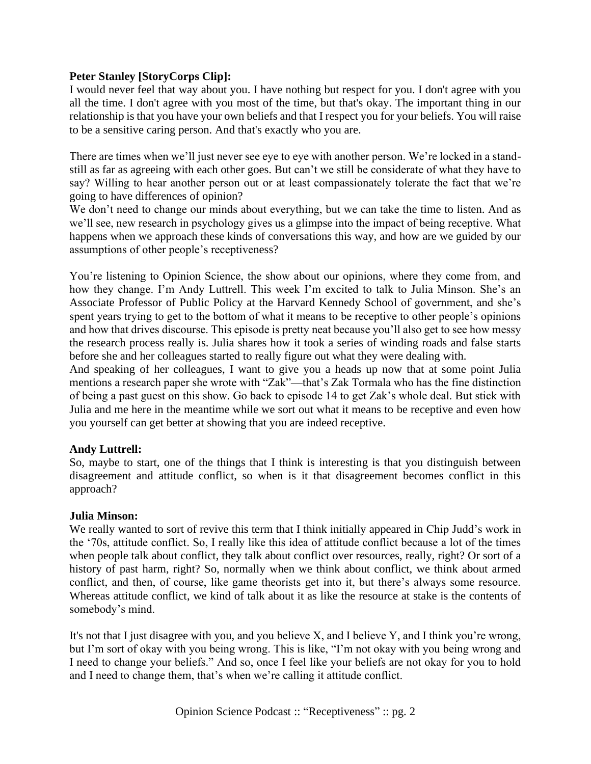## **Peter Stanley [StoryCorps Clip]:**

I would never feel that way about you. I have nothing but respect for you. I don't agree with you all the time. I don't agree with you most of the time, but that's okay. The important thing in our relationship is that you have your own beliefs and that I respect you for your beliefs. You will raise to be a sensitive caring person. And that's exactly who you are.

There are times when we'll just never see eye to eye with another person. We're locked in a standstill as far as agreeing with each other goes. But can't we still be considerate of what they have to say? Willing to hear another person out or at least compassionately tolerate the fact that we're going to have differences of opinion?

We don't need to change our minds about everything, but we can take the time to listen. And as we'll see, new research in psychology gives us a glimpse into the impact of being receptive. What happens when we approach these kinds of conversations this way, and how are we guided by our assumptions of other people's receptiveness?

You're listening to Opinion Science, the show about our opinions, where they come from, and how they change. I'm Andy Luttrell. This week I'm excited to talk to Julia Minson. She's an Associate Professor of Public Policy at the Harvard Kennedy School of government, and she's spent years trying to get to the bottom of what it means to be receptive to other people's opinions and how that drives discourse. This episode is pretty neat because you'll also get to see how messy the research process really is. Julia shares how it took a series of winding roads and false starts before she and her colleagues started to really figure out what they were dealing with.

And speaking of her colleagues, I want to give you a heads up now that at some point Julia mentions a research paper she wrote with "Zak"—that's Zak Tormala who has the fine distinction of being a past guest on this show. Go back to episode 14 to get Zak's whole deal. But stick with Julia and me here in the meantime while we sort out what it means to be receptive and even how you yourself can get better at showing that you are indeed receptive.

### **Andy Luttrell:**

So, maybe to start, one of the things that I think is interesting is that you distinguish between disagreement and attitude conflict, so when is it that disagreement becomes conflict in this approach?

### **Julia Minson:**

We really wanted to sort of revive this term that I think initially appeared in Chip Judd's work in the '70s, attitude conflict. So, I really like this idea of attitude conflict because a lot of the times when people talk about conflict, they talk about conflict over resources, really, right? Or sort of a history of past harm, right? So, normally when we think about conflict, we think about armed conflict, and then, of course, like game theorists get into it, but there's always some resource. Whereas attitude conflict, we kind of talk about it as like the resource at stake is the contents of somebody's mind.

It's not that I just disagree with you, and you believe X, and I believe Y, and I think you're wrong, but I'm sort of okay with you being wrong. This is like, "I'm not okay with you being wrong and I need to change your beliefs." And so, once I feel like your beliefs are not okay for you to hold and I need to change them, that's when we're calling it attitude conflict.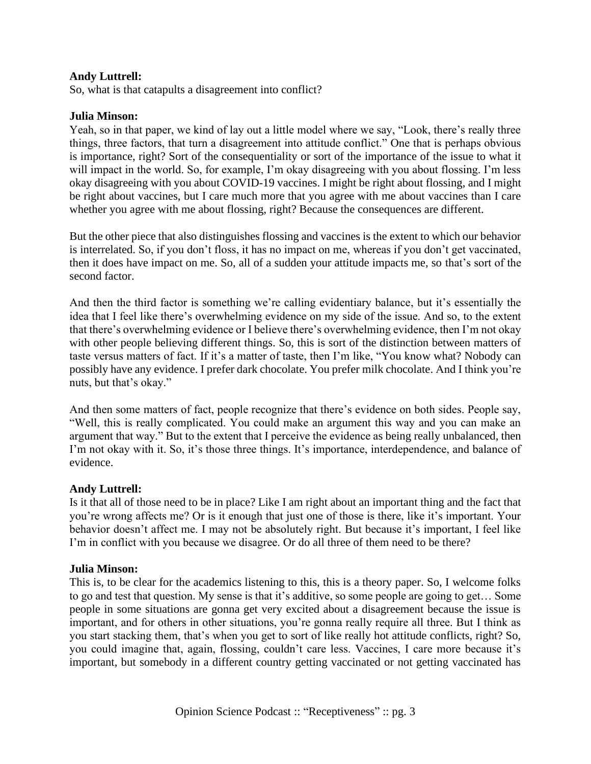## **Andy Luttrell:**

So, what is that catapults a disagreement into conflict?

#### **Julia Minson:**

Yeah, so in that paper, we kind of lay out a little model where we say, "Look, there's really three things, three factors, that turn a disagreement into attitude conflict." One that is perhaps obvious is importance, right? Sort of the consequentiality or sort of the importance of the issue to what it will impact in the world. So, for example, I'm okay disagreeing with you about flossing. I'm less okay disagreeing with you about COVID-19 vaccines. I might be right about flossing, and I might be right about vaccines, but I care much more that you agree with me about vaccines than I care whether you agree with me about flossing, right? Because the consequences are different.

But the other piece that also distinguishes flossing and vaccines is the extent to which our behavior is interrelated. So, if you don't floss, it has no impact on me, whereas if you don't get vaccinated, then it does have impact on me. So, all of a sudden your attitude impacts me, so that's sort of the second factor.

And then the third factor is something we're calling evidentiary balance, but it's essentially the idea that I feel like there's overwhelming evidence on my side of the issue. And so, to the extent that there's overwhelming evidence or I believe there's overwhelming evidence, then I'm not okay with other people believing different things. So, this is sort of the distinction between matters of taste versus matters of fact. If it's a matter of taste, then I'm like, "You know what? Nobody can possibly have any evidence. I prefer dark chocolate. You prefer milk chocolate. And I think you're nuts, but that's okay."

And then some matters of fact, people recognize that there's evidence on both sides. People say, "Well, this is really complicated. You could make an argument this way and you can make an argument that way." But to the extent that I perceive the evidence as being really unbalanced, then I'm not okay with it. So, it's those three things. It's importance, interdependence, and balance of evidence.

### **Andy Luttrell:**

Is it that all of those need to be in place? Like I am right about an important thing and the fact that you're wrong affects me? Or is it enough that just one of those is there, like it's important. Your behavior doesn't affect me. I may not be absolutely right. But because it's important, I feel like I'm in conflict with you because we disagree. Or do all three of them need to be there?

#### **Julia Minson:**

This is, to be clear for the academics listening to this, this is a theory paper. So, I welcome folks to go and test that question. My sense is that it's additive, so some people are going to get… Some people in some situations are gonna get very excited about a disagreement because the issue is important, and for others in other situations, you're gonna really require all three. But I think as you start stacking them, that's when you get to sort of like really hot attitude conflicts, right? So, you could imagine that, again, flossing, couldn't care less. Vaccines, I care more because it's important, but somebody in a different country getting vaccinated or not getting vaccinated has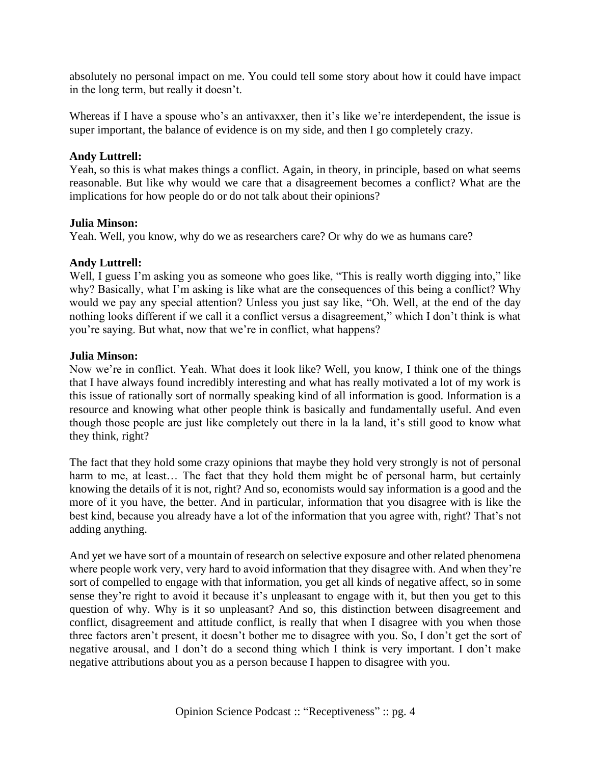absolutely no personal impact on me. You could tell some story about how it could have impact in the long term, but really it doesn't.

Whereas if I have a spouse who's an antivaxxer, then it's like we're interdependent, the issue is super important, the balance of evidence is on my side, and then I go completely crazy.

## **Andy Luttrell:**

Yeah, so this is what makes things a conflict. Again, in theory, in principle, based on what seems reasonable. But like why would we care that a disagreement becomes a conflict? What are the implications for how people do or do not talk about their opinions?

### **Julia Minson:**

Yeah. Well, you know, why do we as researchers care? Or why do we as humans care?

## **Andy Luttrell:**

Well, I guess I'm asking you as someone who goes like, "This is really worth digging into," like why? Basically, what I'm asking is like what are the consequences of this being a conflict? Why would we pay any special attention? Unless you just say like, "Oh. Well, at the end of the day nothing looks different if we call it a conflict versus a disagreement," which I don't think is what you're saying. But what, now that we're in conflict, what happens?

### **Julia Minson:**

Now we're in conflict. Yeah. What does it look like? Well, you know, I think one of the things that I have always found incredibly interesting and what has really motivated a lot of my work is this issue of rationally sort of normally speaking kind of all information is good. Information is a resource and knowing what other people think is basically and fundamentally useful. And even though those people are just like completely out there in la la land, it's still good to know what they think, right?

The fact that they hold some crazy opinions that maybe they hold very strongly is not of personal harm to me, at least... The fact that they hold them might be of personal harm, but certainly knowing the details of it is not, right? And so, economists would say information is a good and the more of it you have, the better. And in particular, information that you disagree with is like the best kind, because you already have a lot of the information that you agree with, right? That's not adding anything.

And yet we have sort of a mountain of research on selective exposure and other related phenomena where people work very, very hard to avoid information that they disagree with. And when they're sort of compelled to engage with that information, you get all kinds of negative affect, so in some sense they're right to avoid it because it's unpleasant to engage with it, but then you get to this question of why. Why is it so unpleasant? And so, this distinction between disagreement and conflict, disagreement and attitude conflict, is really that when I disagree with you when those three factors aren't present, it doesn't bother me to disagree with you. So, I don't get the sort of negative arousal, and I don't do a second thing which I think is very important. I don't make negative attributions about you as a person because I happen to disagree with you.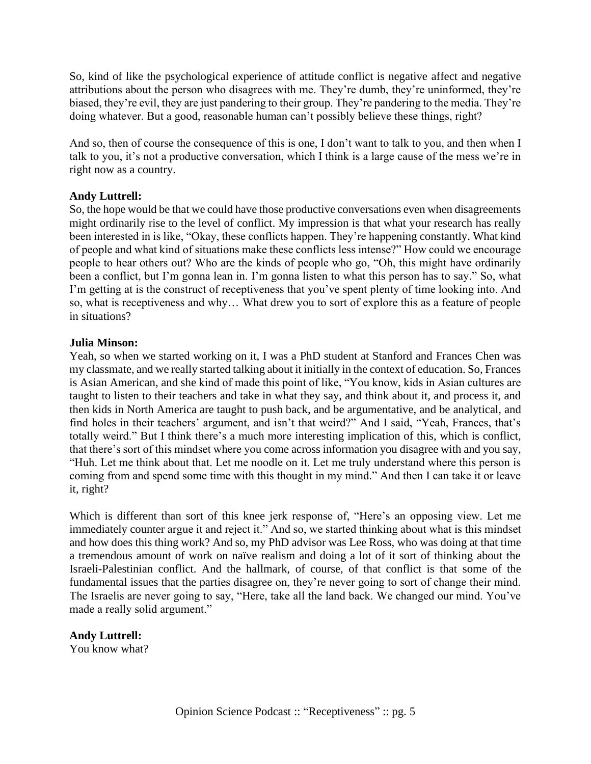So, kind of like the psychological experience of attitude conflict is negative affect and negative attributions about the person who disagrees with me. They're dumb, they're uninformed, they're biased, they're evil, they are just pandering to their group. They're pandering to the media. They're doing whatever. But a good, reasonable human can't possibly believe these things, right?

And so, then of course the consequence of this is one, I don't want to talk to you, and then when I talk to you, it's not a productive conversation, which I think is a large cause of the mess we're in right now as a country.

## **Andy Luttrell:**

So, the hope would be that we could have those productive conversations even when disagreements might ordinarily rise to the level of conflict. My impression is that what your research has really been interested in is like, "Okay, these conflicts happen. They're happening constantly. What kind of people and what kind of situations make these conflicts less intense?" How could we encourage people to hear others out? Who are the kinds of people who go, "Oh, this might have ordinarily been a conflict, but I'm gonna lean in. I'm gonna listen to what this person has to say." So, what I'm getting at is the construct of receptiveness that you've spent plenty of time looking into. And so, what is receptiveness and why… What drew you to sort of explore this as a feature of people in situations?

### **Julia Minson:**

Yeah, so when we started working on it, I was a PhD student at Stanford and Frances Chen was my classmate, and we really started talking about it initially in the context of education. So, Frances is Asian American, and she kind of made this point of like, "You know, kids in Asian cultures are taught to listen to their teachers and take in what they say, and think about it, and process it, and then kids in North America are taught to push back, and be argumentative, and be analytical, and find holes in their teachers' argument, and isn't that weird?" And I said, "Yeah, Frances, that's totally weird." But I think there's a much more interesting implication of this, which is conflict, that there's sort of this mindset where you come across information you disagree with and you say, "Huh. Let me think about that. Let me noodle on it. Let me truly understand where this person is coming from and spend some time with this thought in my mind." And then I can take it or leave it, right?

Which is different than sort of this knee jerk response of, "Here's an opposing view. Let me immediately counter argue it and reject it." And so, we started thinking about what is this mindset and how does this thing work? And so, my PhD advisor was Lee Ross, who was doing at that time a tremendous amount of work on naïve realism and doing a lot of it sort of thinking about the Israeli-Palestinian conflict. And the hallmark, of course, of that conflict is that some of the fundamental issues that the parties disagree on, they're never going to sort of change their mind. The Israelis are never going to say, "Here, take all the land back. We changed our mind. You've made a really solid argument."

# **Andy Luttrell:**

You know what?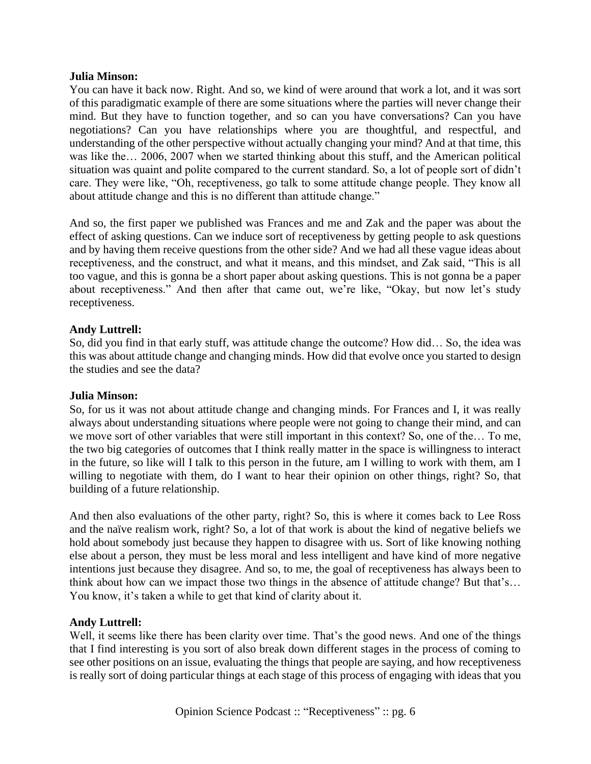You can have it back now. Right. And so, we kind of were around that work a lot, and it was sort of this paradigmatic example of there are some situations where the parties will never change their mind. But they have to function together, and so can you have conversations? Can you have negotiations? Can you have relationships where you are thoughtful, and respectful, and understanding of the other perspective without actually changing your mind? And at that time, this was like the… 2006, 2007 when we started thinking about this stuff, and the American political situation was quaint and polite compared to the current standard. So, a lot of people sort of didn't care. They were like, "Oh, receptiveness, go talk to some attitude change people. They know all about attitude change and this is no different than attitude change."

And so, the first paper we published was Frances and me and Zak and the paper was about the effect of asking questions. Can we induce sort of receptiveness by getting people to ask questions and by having them receive questions from the other side? And we had all these vague ideas about receptiveness, and the construct, and what it means, and this mindset, and Zak said, "This is all too vague, and this is gonna be a short paper about asking questions. This is not gonna be a paper about receptiveness." And then after that came out, we're like, "Okay, but now let's study receptiveness.

### **Andy Luttrell:**

So, did you find in that early stuff, was attitude change the outcome? How did… So, the idea was this was about attitude change and changing minds. How did that evolve once you started to design the studies and see the data?

### **Julia Minson:**

So, for us it was not about attitude change and changing minds. For Frances and I, it was really always about understanding situations where people were not going to change their mind, and can we move sort of other variables that were still important in this context? So, one of the… To me, the two big categories of outcomes that I think really matter in the space is willingness to interact in the future, so like will I talk to this person in the future, am I willing to work with them, am I willing to negotiate with them, do I want to hear their opinion on other things, right? So, that building of a future relationship.

And then also evaluations of the other party, right? So, this is where it comes back to Lee Ross and the naïve realism work, right? So, a lot of that work is about the kind of negative beliefs we hold about somebody just because they happen to disagree with us. Sort of like knowing nothing else about a person, they must be less moral and less intelligent and have kind of more negative intentions just because they disagree. And so, to me, the goal of receptiveness has always been to think about how can we impact those two things in the absence of attitude change? But that's… You know, it's taken a while to get that kind of clarity about it.

### **Andy Luttrell:**

Well, it seems like there has been clarity over time. That's the good news. And one of the things that I find interesting is you sort of also break down different stages in the process of coming to see other positions on an issue, evaluating the things that people are saying, and how receptiveness is really sort of doing particular things at each stage of this process of engaging with ideas that you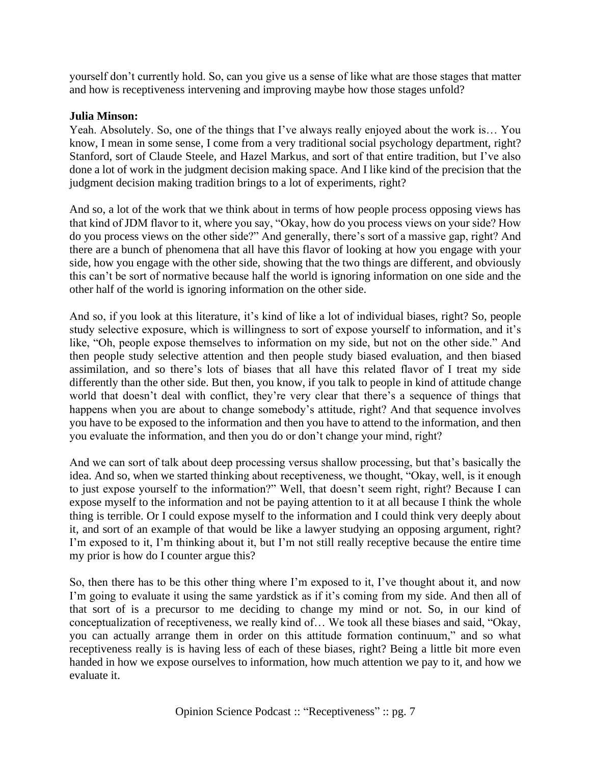yourself don't currently hold. So, can you give us a sense of like what are those stages that matter and how is receptiveness intervening and improving maybe how those stages unfold?

### **Julia Minson:**

Yeah. Absolutely. So, one of the things that I've always really enjoyed about the work is… You know, I mean in some sense, I come from a very traditional social psychology department, right? Stanford, sort of Claude Steele, and Hazel Markus, and sort of that entire tradition, but I've also done a lot of work in the judgment decision making space. And I like kind of the precision that the judgment decision making tradition brings to a lot of experiments, right?

And so, a lot of the work that we think about in terms of how people process opposing views has that kind of JDM flavor to it, where you say, "Okay, how do you process views on your side? How do you process views on the other side?" And generally, there's sort of a massive gap, right? And there are a bunch of phenomena that all have this flavor of looking at how you engage with your side, how you engage with the other side, showing that the two things are different, and obviously this can't be sort of normative because half the world is ignoring information on one side and the other half of the world is ignoring information on the other side.

And so, if you look at this literature, it's kind of like a lot of individual biases, right? So, people study selective exposure, which is willingness to sort of expose yourself to information, and it's like, "Oh, people expose themselves to information on my side, but not on the other side." And then people study selective attention and then people study biased evaluation, and then biased assimilation, and so there's lots of biases that all have this related flavor of I treat my side differently than the other side. But then, you know, if you talk to people in kind of attitude change world that doesn't deal with conflict, they're very clear that there's a sequence of things that happens when you are about to change somebody's attitude, right? And that sequence involves you have to be exposed to the information and then you have to attend to the information, and then you evaluate the information, and then you do or don't change your mind, right?

And we can sort of talk about deep processing versus shallow processing, but that's basically the idea. And so, when we started thinking about receptiveness, we thought, "Okay, well, is it enough to just expose yourself to the information?" Well, that doesn't seem right, right? Because I can expose myself to the information and not be paying attention to it at all because I think the whole thing is terrible. Or I could expose myself to the information and I could think very deeply about it, and sort of an example of that would be like a lawyer studying an opposing argument, right? I'm exposed to it, I'm thinking about it, but I'm not still really receptive because the entire time my prior is how do I counter argue this?

So, then there has to be this other thing where I'm exposed to it, I've thought about it, and now I'm going to evaluate it using the same yardstick as if it's coming from my side. And then all of that sort of is a precursor to me deciding to change my mind or not. So, in our kind of conceptualization of receptiveness, we really kind of… We took all these biases and said, "Okay, you can actually arrange them in order on this attitude formation continuum," and so what receptiveness really is is having less of each of these biases, right? Being a little bit more even handed in how we expose ourselves to information, how much attention we pay to it, and how we evaluate it.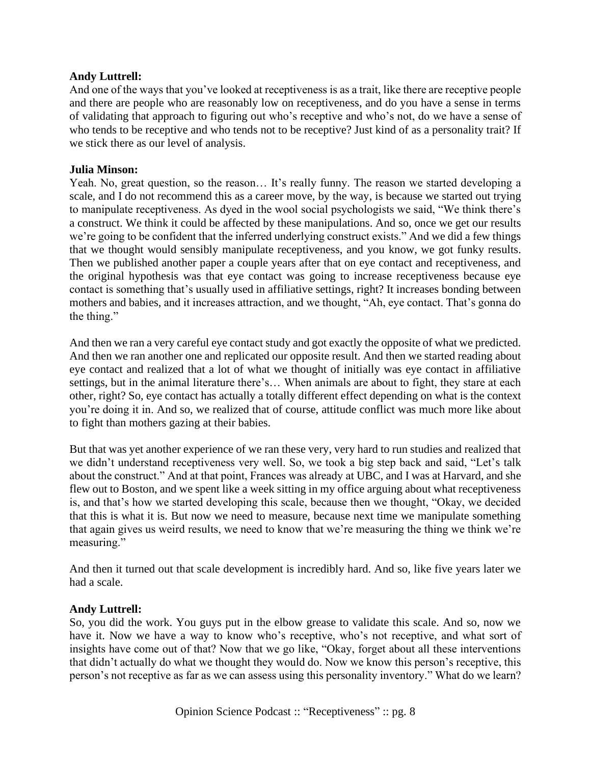## **Andy Luttrell:**

And one of the ways that you've looked at receptiveness is as a trait, like there are receptive people and there are people who are reasonably low on receptiveness, and do you have a sense in terms of validating that approach to figuring out who's receptive and who's not, do we have a sense of who tends to be receptive and who tends not to be receptive? Just kind of as a personality trait? If we stick there as our level of analysis.

## **Julia Minson:**

Yeah. No, great question, so the reason... It's really funny. The reason we started developing a scale, and I do not recommend this as a career move, by the way, is because we started out trying to manipulate receptiveness. As dyed in the wool social psychologists we said, "We think there's a construct. We think it could be affected by these manipulations. And so, once we get our results we're going to be confident that the inferred underlying construct exists." And we did a few things that we thought would sensibly manipulate receptiveness, and you know, we got funky results. Then we published another paper a couple years after that on eye contact and receptiveness, and the original hypothesis was that eye contact was going to increase receptiveness because eye contact is something that's usually used in affiliative settings, right? It increases bonding between mothers and babies, and it increases attraction, and we thought, "Ah, eye contact. That's gonna do the thing."

And then we ran a very careful eye contact study and got exactly the opposite of what we predicted. And then we ran another one and replicated our opposite result. And then we started reading about eye contact and realized that a lot of what we thought of initially was eye contact in affiliative settings, but in the animal literature there's… When animals are about to fight, they stare at each other, right? So, eye contact has actually a totally different effect depending on what is the context you're doing it in. And so, we realized that of course, attitude conflict was much more like about to fight than mothers gazing at their babies.

But that was yet another experience of we ran these very, very hard to run studies and realized that we didn't understand receptiveness very well. So, we took a big step back and said, "Let's talk about the construct." And at that point, Frances was already at UBC, and I was at Harvard, and she flew out to Boston, and we spent like a week sitting in my office arguing about what receptiveness is, and that's how we started developing this scale, because then we thought, "Okay, we decided that this is what it is. But now we need to measure, because next time we manipulate something that again gives us weird results, we need to know that we're measuring the thing we think we're measuring."

And then it turned out that scale development is incredibly hard. And so, like five years later we had a scale.

### **Andy Luttrell:**

So, you did the work. You guys put in the elbow grease to validate this scale. And so, now we have it. Now we have a way to know who's receptive, who's not receptive, and what sort of insights have come out of that? Now that we go like, "Okay, forget about all these interventions that didn't actually do what we thought they would do. Now we know this person's receptive, this person's not receptive as far as we can assess using this personality inventory." What do we learn?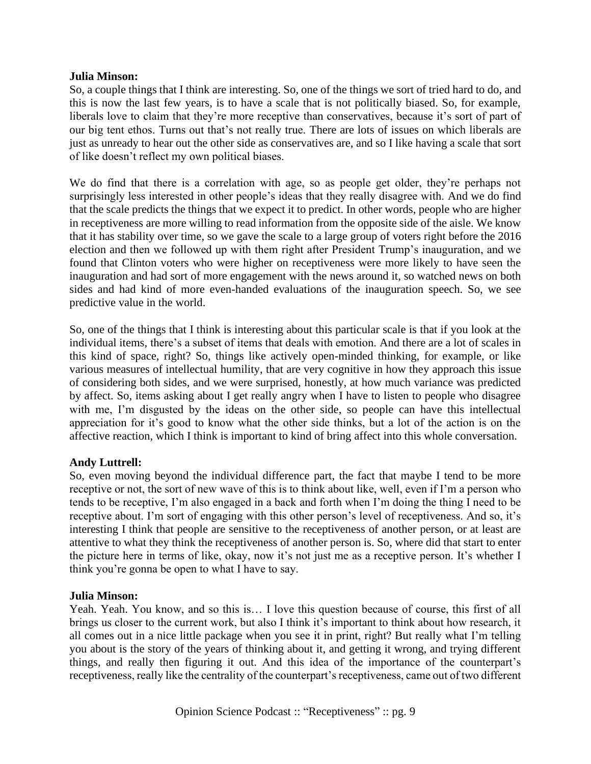So, a couple things that I think are interesting. So, one of the things we sort of tried hard to do, and this is now the last few years, is to have a scale that is not politically biased. So, for example, liberals love to claim that they're more receptive than conservatives, because it's sort of part of our big tent ethos. Turns out that's not really true. There are lots of issues on which liberals are just as unready to hear out the other side as conservatives are, and so I like having a scale that sort of like doesn't reflect my own political biases.

We do find that there is a correlation with age, so as people get older, they're perhaps not surprisingly less interested in other people's ideas that they really disagree with. And we do find that the scale predicts the things that we expect it to predict. In other words, people who are higher in receptiveness are more willing to read information from the opposite side of the aisle. We know that it has stability over time, so we gave the scale to a large group of voters right before the 2016 election and then we followed up with them right after President Trump's inauguration, and we found that Clinton voters who were higher on receptiveness were more likely to have seen the inauguration and had sort of more engagement with the news around it, so watched news on both sides and had kind of more even-handed evaluations of the inauguration speech. So, we see predictive value in the world.

So, one of the things that I think is interesting about this particular scale is that if you look at the individual items, there's a subset of items that deals with emotion. And there are a lot of scales in this kind of space, right? So, things like actively open-minded thinking, for example, or like various measures of intellectual humility, that are very cognitive in how they approach this issue of considering both sides, and we were surprised, honestly, at how much variance was predicted by affect. So, items asking about I get really angry when I have to listen to people who disagree with me, I'm disgusted by the ideas on the other side, so people can have this intellectual appreciation for it's good to know what the other side thinks, but a lot of the action is on the affective reaction, which I think is important to kind of bring affect into this whole conversation.

### **Andy Luttrell:**

So, even moving beyond the individual difference part, the fact that maybe I tend to be more receptive or not, the sort of new wave of this is to think about like, well, even if I'm a person who tends to be receptive, I'm also engaged in a back and forth when I'm doing the thing I need to be receptive about. I'm sort of engaging with this other person's level of receptiveness. And so, it's interesting I think that people are sensitive to the receptiveness of another person, or at least are attentive to what they think the receptiveness of another person is. So, where did that start to enter the picture here in terms of like, okay, now it's not just me as a receptive person. It's whether I think you're gonna be open to what I have to say.

### **Julia Minson:**

Yeah. Yeah. You know, and so this is… I love this question because of course, this first of all brings us closer to the current work, but also I think it's important to think about how research, it all comes out in a nice little package when you see it in print, right? But really what I'm telling you about is the story of the years of thinking about it, and getting it wrong, and trying different things, and really then figuring it out. And this idea of the importance of the counterpart's receptiveness, really like the centrality of the counterpart's receptiveness, came out of two different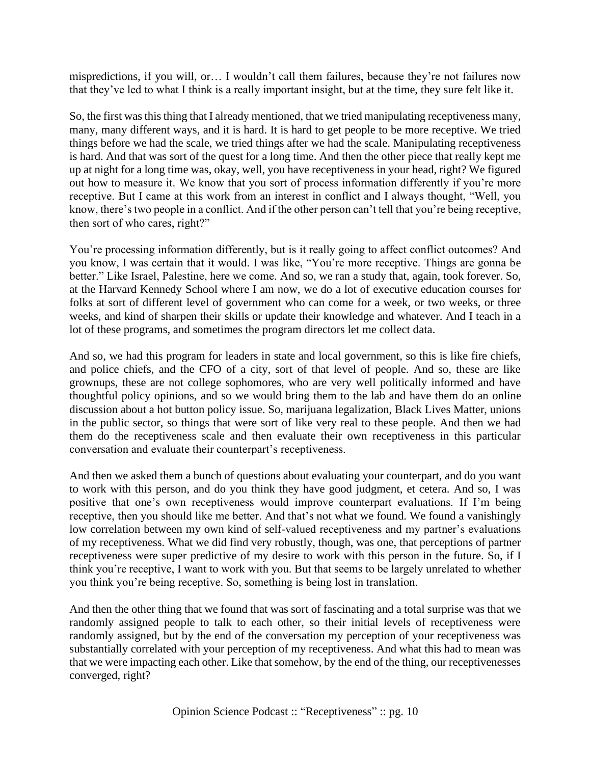mispredictions, if you will, or… I wouldn't call them failures, because they're not failures now that they've led to what I think is a really important insight, but at the time, they sure felt like it.

So, the first was this thing that I already mentioned, that we tried manipulating receptiveness many, many, many different ways, and it is hard. It is hard to get people to be more receptive. We tried things before we had the scale, we tried things after we had the scale. Manipulating receptiveness is hard. And that was sort of the quest for a long time. And then the other piece that really kept me up at night for a long time was, okay, well, you have receptiveness in your head, right? We figured out how to measure it. We know that you sort of process information differently if you're more receptive. But I came at this work from an interest in conflict and I always thought, "Well, you know, there's two people in a conflict. And if the other person can't tell that you're being receptive, then sort of who cares, right?"

You're processing information differently, but is it really going to affect conflict outcomes? And you know, I was certain that it would. I was like, "You're more receptive. Things are gonna be better." Like Israel, Palestine, here we come. And so, we ran a study that, again, took forever. So, at the Harvard Kennedy School where I am now, we do a lot of executive education courses for folks at sort of different level of government who can come for a week, or two weeks, or three weeks, and kind of sharpen their skills or update their knowledge and whatever. And I teach in a lot of these programs, and sometimes the program directors let me collect data.

And so, we had this program for leaders in state and local government, so this is like fire chiefs, and police chiefs, and the CFO of a city, sort of that level of people. And so, these are like grownups, these are not college sophomores, who are very well politically informed and have thoughtful policy opinions, and so we would bring them to the lab and have them do an online discussion about a hot button policy issue. So, marijuana legalization, Black Lives Matter, unions in the public sector, so things that were sort of like very real to these people. And then we had them do the receptiveness scale and then evaluate their own receptiveness in this particular conversation and evaluate their counterpart's receptiveness.

And then we asked them a bunch of questions about evaluating your counterpart, and do you want to work with this person, and do you think they have good judgment, et cetera. And so, I was positive that one's own receptiveness would improve counterpart evaluations. If I'm being receptive, then you should like me better. And that's not what we found. We found a vanishingly low correlation between my own kind of self-valued receptiveness and my partner's evaluations of my receptiveness. What we did find very robustly, though, was one, that perceptions of partner receptiveness were super predictive of my desire to work with this person in the future. So, if I think you're receptive, I want to work with you. But that seems to be largely unrelated to whether you think you're being receptive. So, something is being lost in translation.

And then the other thing that we found that was sort of fascinating and a total surprise was that we randomly assigned people to talk to each other, so their initial levels of receptiveness were randomly assigned, but by the end of the conversation my perception of your receptiveness was substantially correlated with your perception of my receptiveness. And what this had to mean was that we were impacting each other. Like that somehow, by the end of the thing, our receptivenesses converged, right?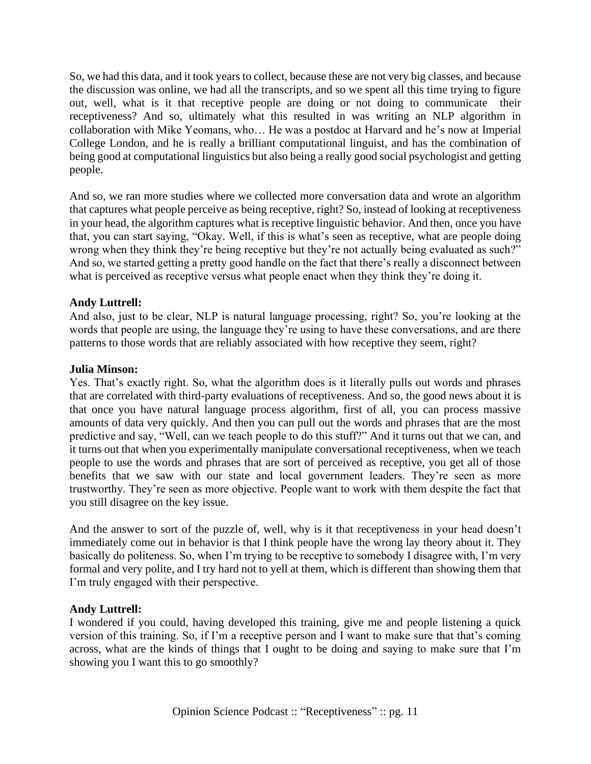So, we had this data, and it took years to collect, because these are not very big classes, and because the discussion was online, we had all the transcripts, and so we spent all this time trying to figure out, well, what is it that receptive people are doing or not doing to communicate their receptiveness? And so, ultimately what this resulted in was writing an NLP algorithm in collaboration with Mike Yeomans, who… He was a postdoc at Harvard and he's now at Imperial College London, and he is really a brilliant computational linguist, and has the combination of being good at computational linguistics but also being a really good social psychologist and getting people.

And so, we ran more studies where we collected more conversation data and wrote an algorithm that captures what people perceive as being receptive, right? So, instead of looking at receptiveness in your head, the algorithm captures what is receptive linguistic behavior. And then, once you have that, you can start saying, "Okay. Well, if this is what's seen as receptive, what are people doing wrong when they think they're being receptive but they're not actually being evaluated as such?" And so, we started getting a pretty good handle on the fact that there's really a disconnect between what is perceived as receptive versus what people enact when they think they're doing it.

## **Andy Luttrell:**

And also, just to be clear, NLP is natural language processing, right? So, you're looking at the words that people are using, the language they're using to have these conversations, and are there patterns to those words that are reliably associated with how receptive they seem, right?

## **Julia Minson:**

Yes. That's exactly right. So, what the algorithm does is it literally pulls out words and phrases that are correlated with third-party evaluations of receptiveness. And so, the good news about it is that once you have natural language process algorithm, first of all, you can process massive amounts of data very quickly. And then you can pull out the words and phrases that are the most predictive and say, "Well, can we teach people to do this stuff?" And it turns out that we can, and it turns out that when you experimentally manipulate conversational receptiveness, when we teach people to use the words and phrases that are sort of perceived as receptive, you get all of those benefits that we saw with our state and local government leaders. They're seen as more trustworthy. They're seen as more objective. People want to work with them despite the fact that you still disagree on the key issue.

And the answer to sort of the puzzle of, well, why is it that receptiveness in your head doesn't immediately come out in behavior is that I think people have the wrong lay theory about it. They basically do politeness. So, when I'm trying to be receptive to somebody I disagree with, I'm very formal and very polite, and I try hard not to yell at them, which is different than showing them that I'm truly engaged with their perspective.

## **Andy Luttrell:**

I wondered if you could, having developed this training, give me and people listening a quick version of this training. So, if I'm a receptive person and I want to make sure that that's coming across, what are the kinds of things that I ought to be doing and saying to make sure that I'm showing you I want this to go smoothly?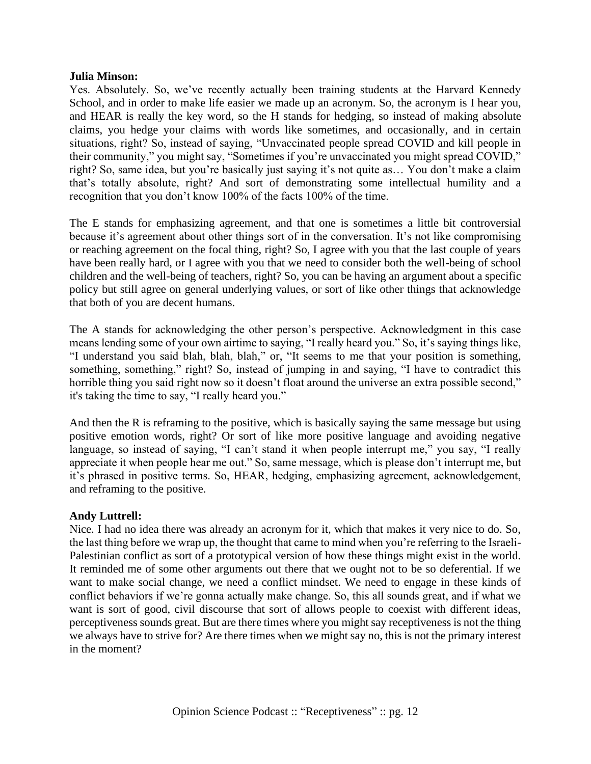Yes. Absolutely. So, we've recently actually been training students at the Harvard Kennedy School, and in order to make life easier we made up an acronym. So, the acronym is I hear you, and HEAR is really the key word, so the H stands for hedging, so instead of making absolute claims, you hedge your claims with words like sometimes, and occasionally, and in certain situations, right? So, instead of saying, "Unvaccinated people spread COVID and kill people in their community," you might say, "Sometimes if you're unvaccinated you might spread COVID," right? So, same idea, but you're basically just saying it's not quite as… You don't make a claim that's totally absolute, right? And sort of demonstrating some intellectual humility and a recognition that you don't know 100% of the facts 100% of the time.

The E stands for emphasizing agreement, and that one is sometimes a little bit controversial because it's agreement about other things sort of in the conversation. It's not like compromising or reaching agreement on the focal thing, right? So, I agree with you that the last couple of years have been really hard, or I agree with you that we need to consider both the well-being of school children and the well-being of teachers, right? So, you can be having an argument about a specific policy but still agree on general underlying values, or sort of like other things that acknowledge that both of you are decent humans.

The A stands for acknowledging the other person's perspective. Acknowledgment in this case means lending some of your own airtime to saying, "I really heard you." So, it's saying things like, "I understand you said blah, blah, blah," or, "It seems to me that your position is something, something, something," right? So, instead of jumping in and saying, "I have to contradict this horrible thing you said right now so it doesn't float around the universe an extra possible second," it's taking the time to say, "I really heard you."

And then the R is reframing to the positive, which is basically saying the same message but using positive emotion words, right? Or sort of like more positive language and avoiding negative language, so instead of saying, "I can't stand it when people interrupt me," you say, "I really appreciate it when people hear me out." So, same message, which is please don't interrupt me, but it's phrased in positive terms. So, HEAR, hedging, emphasizing agreement, acknowledgement, and reframing to the positive.

### **Andy Luttrell:**

Nice. I had no idea there was already an acronym for it, which that makes it very nice to do. So, the last thing before we wrap up, the thought that came to mind when you're referring to the Israeli-Palestinian conflict as sort of a prototypical version of how these things might exist in the world. It reminded me of some other arguments out there that we ought not to be so deferential. If we want to make social change, we need a conflict mindset. We need to engage in these kinds of conflict behaviors if we're gonna actually make change. So, this all sounds great, and if what we want is sort of good, civil discourse that sort of allows people to coexist with different ideas, perceptiveness sounds great. But are there times where you might say receptiveness is not the thing we always have to strive for? Are there times when we might say no, this is not the primary interest in the moment?